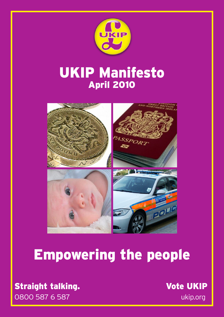

# UKIP Manifesto April 2010



# Empowering the people

0800 587 6 587 ukip.org Straight talking. The Contract of Contract of Contract of Contract of Contract of Contract of Contract of Contract of Contract of Contract of Contract of Contract of Contract of Contract of Contract of Contract of Contract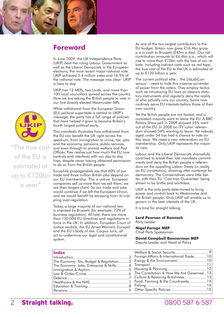

#### **Foreword**

In June 2009, the UK Independence Party (UKIP) beat the ruling Labour Government as well as the Liberal Democrats in the European elections, the most recent major national vote. UKIP achieved 2.4 million votes and 16.5% of the national vote. The message was clear: UKIP is here to stay.

UKIP has 12 MEPs, two Lords, and more than 100 local councillors spread across the country. Now we are asking the British people to vote in our first directly elected Westminster MPs.

While withdrawal from the European Union (EU) political superstate is central to UKIP's message, the party has a full range of policies that have helped it grow to become Britain's fourth largest political party.

This manifesto illustrates how withdrawal from the EU can benefit the UK right across the spectrum, from immigration to crime, tax, jobs and the economy, pensions, public services, and even through to animal welfare and Post Offices. Few realise just how much the EU now controls and interferes with our day-to-day lives, despite never having obtained permission to do so from the British people.

Europhile propagandists say that 60% of our trade and three million British jobs depend on our EU membership. This is untrue. European companies sell us more than we sell them; we are their largest client. So our trade and jobs would continue if we left the European Union, and we would benefit by escaping from its crippling over-regulation.

Today, a large majority of our national law is imposed by Brussels (for example, 72% of business regulation). All told, there are more than 120,000 EU directives and regulations in force in the UK. In addition, European Court of Justice verdicts, the EU Arrest Warrant, Europol and the EU's body of law, Corpus Juris, all act to undermine our legal and constitutional system.

#### **Index**

| The Economy: Tax, Budget & Regulation3   |  |
|------------------------------------------|--|
| The Economy: Jobs, Enterprise & Skills 4 |  |
|                                          |  |
|                                          |  |
|                                          |  |
|                                          |  |
|                                          |  |
|                                          |  |
|                                          |  |

As one of the two largest contributors to the EU budget, Britain now gives £16.4bn gross p.a in cash to Brussels (£45m a day). Our net contribution amounts to £6.4bn p.a., which will rise to more than £10bn with the loss of our rebate. Including indirect costs such as red tape, the true cost of the EU to the UK is estimated at up to £120 billion a year.

The current political elite - 'the LibLabConsensus' - need to hide this massive surrender of power from the voters. They employ tactics such as introducing EU laws as obscure statutory instruments and regularly deny the reality of who actually runs our country. Some now routinely serve EU interests before those of their own country.

Yet the British people are not fooled, and a consistent majority want to leave the EU. A BBC Politics Show poll in 2009 showed 55% want out of the EU. In 2008 an ITV Luton referendum showed 54% wanting to leave. Yet nobody aged under 54 has had a chance to vote on this issue. We need a new referendum on EU membership. Only UKIP represents the majority view.

Labour and the Liberal Democrats shamefully contrived to break their last manifesto commitments and deny the British people a referendum on the appalling Lisbon Treaty (in reality an EU constitution), showing utter contempt for democracy. The Conservatives were little better, with their EU 'Cast Iron Guarantee' being shown to be brittle and worthless.

UKIP is the only party determined to bring power and control back to Westminster and the British people. Only UKIP will enable us to govern in the best interests of the UK.

It is time for straight talking.

#### **Lord Pearson of Rannoch** Party Leader

#### **Nigel Farage MEP**

Chief Party Spokesman

**David Campbell Bannerman MEP** Deputy Leader and Head of Policy

| Foreign Affairs & International Trade 10 |  |
|------------------------------------------|--|
|                                          |  |
|                                          |  |
|                                          |  |
| The Constitution & How We Are Governed13 |  |
| Culture & Restoring Britishness 13       |  |
| Food, Farming & the Countryside14        |  |
|                                          |  |
|                                          |  |



"The true cost of the EU is estimated at up to £120bn a year"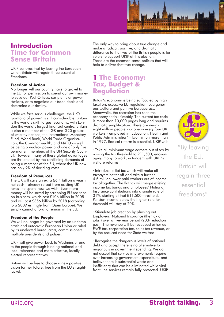

#### **Introduction Time for Common Sense Britain**

UKIP believes that by leaving the European Union Britain will regain three essential Freedoms.

#### **Freedom of Action**

No longer will our country have to grovel to the EU for permission to spend our own money to save our Post Offices, car plants or power stations, or to negotiate our trade deals and determine our destiny.

While we face serious challenges, the UK's 'portfolio of power' is still considerable. Britain is the world's sixth largest economy, with London the world's largest financial centre. Britain is also a member of the G8 and G20 groups of wealthy nations, the International Monetary Fund, World Bank, World Trade Organisation, the Commonwealth, and NATO as well as being a nuclear power and one of only five permanent members of the UN Security Council. However, many of these global advantages are threatened by the conflicting demands of being a member of the EU, where the UK now has only 9% of deciding votes.

#### **Freedom of Resources**

The UK will save an extra £6.4 billion a year in net cash - already raised from existing UK taxes - to spend how we wish. Even more money will be saved by scrapping EU red tape on business, which cost £106 billion in 2008 and will cost £356 billion by 2018 (according to a 2009 estimate from Open Europe). We simply cannot afford to remain in the EU.

#### **Freedom of the People**

We will no longer be governed by an undemocratic and autocratic European Union or ruled by its unelected bureaucrats, commissioners, multiple presidents and judges.

UKIP will give power back to Westminster and to the people through binding national and local referenda and more effective, locallyelected representatives.

Britain will be free to choose a new positive vision for her future, free from the EU straightjacket.

The only way to bring about true change and make a radical, positive, and dramatic difference to the lives of the British people is for voters to support UKIP at this election. These are the common sense policies that will help to deliver that true change.

#### **1 The Economy: Tax, Budget & Regulation**

Britain's economy is being suffocated by high taxation, excessive EU regulation, overgenerous welfare and punitive bureaucracy. Meanwhile, the recession has seen the economy shrink sizeably. The current tax code is more than 10,000 pages long and requires dramatic simplification. There are nearly eight million people - or one in every four UK workers - employed in 'Education, Health and Public Administration' - two million more than in 1997. Radical reform is essential. UKIP will:

· Take all minimum wage earners out of tax by raising the tax threshold to £11,500; encouraging many to work, in tandem with UKIP's welfare reforms

· Introduce a flat tax which will make all taxpayers better off and take a further 4.5 million lower paid workers out of income tax altogether. The flat tax will merge existing income tax bands and Employees' National Insurance contributions into a single rate of 31%, starting at that £11,500 threshold. Pension income below the higher-rate tax threshold will stay at 20%

· Stimulate job creation by phasing out Employers' National Insurance (the 'tax on jobs') over a five-year period (20% reduction p.a.). The revenue will be recouped either as PAYE tax, corporation tax, sales tax revenue, or by the reduced need for State welfare

· Recognise the dangerous levels of national debt and accept there is no alternative to major cuts in government spending. We do not accept that service improvements require ever-increasing government expenditure, and believe there is substantial waste and inefficiency that can be eliminated while vital front line services remain fully protected. UKIP

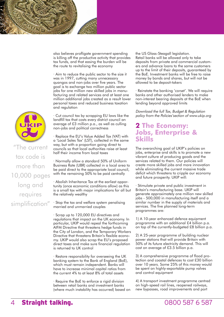

also believes profligate government spending is killing off the productive activity that provides tax funds, and that easing the burden will be the route to revitalising the economy

· Aim to reduce the public sector to the size it was in 1997, cutting many unnecessary quangos and non-jobs over five years. The goal is to exchange two million public sector jobs for one million new skilled jobs in manufacturing and related services and at least one million additional jobs created as a result lower personal taxes and reduced business taxation and regulation

· Cut council tax by scrapping EU laws like the landfill tax that costs every district council an average of £3 million p.a., as well as culling non-jobs and political correctness

· Replace the EU's Value Added Tax (VAT) with a 'Local Sales Tax' (LST), collected in the same way, but with a proportion going direct to councils so that local authorities raise at least half their income from local taxes

· Normally allow a standard 50% of Uniform Business Rate (UBR) collected in a local area to be paid direct to the appropriate local council, with the remaining 50% to be paid centrally

· Abolish Inheritance Tax at the earliest opportunity (once economic conditions allow) as this is a small tax with major implications for all but the relatively wealthy

· Stop the tax and welfare system penalising married and unmarried couples

· Scrap up to 120,000 EU directives and regulations that impact on the UK economy. In particular, UKIP would repeal the forthcoming AIFM Directive that threatens hedge funds in the City of London, and the Temporary Workers Directive that threatens Britain's flexible economy. UKIP would also scrap the EU's proposed direct taxes and make sure financial regulation is returned to UK control

· Restore responsibility for overseeing the UK banking system to the Bank of England (BoE), which must remain independent. Banks will have to increase minimal capital ratios from the current 4% to at least 8% of total assets

· Require the BoE to enforce a rigid division between retail banks and investment banks (where much instability has occurred) based on the US Glass-Steagall legislation. Retail banks will be allowed only to take deposits from private and commercial customers and advance loans to the same customers up to the limit of their deposits, guaranteed by the BoE. Investment banks will be free to raise money by bonds and shares, but will not be allowed to be deposit-takers

· Reinstate the banking 'corset'. We will require banks and other authorised lenders to make non-interest bearing deposits at the BoE when lending beyond approved limits

Download the full Tax, Budget & Regulation policy from the Policies'section of www.ukip.org

#### **2 The Economy: Jobs, Enterprise & Skills**

The overarching goal of UKIP's policies on jobs, enterprise and skills is to promote a new vibrant culture of producing goods and the services related to them. Our policies will create more skilled jobs and more innovation while eliminating the current massive trade deficit which threatens to cripple our economy and future prosperity. UKIP will:

· Stimulate private and public investment in Britain's manufacturing base. UKIP will generate approximately one million new skilled jobs - 500,000 in manufacturing itself and a similar number in the supply of materials and services. The five planned long-term programmes are:

1) A 10-year enhanced defence equipment programme with an additional £4 billion p.a. on top of the currently-budgeted £8 billion p.a.

2) A 25-year programme of building nuclear power stations that will provide Britain with 50% of its future electricity demand. This will cost on average of £3.5 billion p.a.

3) A comprehensive programme of flood protection and coastal defences to cost £30 billion over 10 years. Some 25% of this money would be spent on highly-exportable pump valves and control equipment

4) A transport investment programme centred on high-speed rail lines, reopened railways, new bypasses, road improvements and port



The current tax code is more than 10,000 pages long and requires simplification"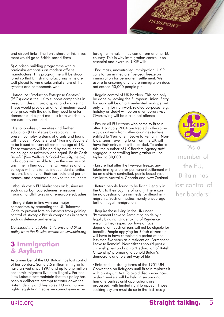

and airport links. The lion's share of this investment would go to British-based firms

5) A prison building programme with a particular emphasis on modern off-site manufacture. This programme will be structured so that British manufacturing firms are well placed to win a substantial share of the systems and components work

· Introduce 'Production Enterprise Centres' (PECs) across the UK to support companies in research, design, prototyping and marketing. These would provide small and medium-sized enterprises with the skills they need to enter domestic and export markets from which they are currently excluded

· Denationalise universities and further education (FE) colleges by replacing the present complex systems of grants and loans with 'Student Vouchers' and 'Training Vouchers' to be issued to every citizen at the age of 18. These vouchers will be paid by the student to the college or university and equal 'Basic Cash Benefit' (See Welfare & Social Security, below). Individuals will be able to use the vouchers at any time in their adult life. Universities and FE colleges will function as independent charities, responsible only for their curricula and performance, and accountable only to their students

· Abolish costly EU hindrances on businesses such as carbon cap schemes, emissions trading, landfill taxes and renewable subsidies

· Bring Britain in line with our major competitors by amending the UK Takeover Code to prevent foreign interests from gaining control of strategic British companies in sectors such as defence and energy

Download the full Jobs, Enterprise and Skills policy from the Policies section of www.ukip.org

#### **3 Immigration & Asylum**

As a member of the EU, Britain has lost control of her borders. Some 2.5 million immigrants have arrived since 1997 and up to one million economic migrants live here illegally. Former New Labour staff maintain that this policy has been a deliberate attempt to water down the British identity and buy votes. EU and human rights legislation means we cannot even expel

foreign criminals if they come from another EU country. This is why immigration control is so essential and overdue. UKIP will:

· End mass, uncontrolled immigration. UKIP calls for an immediate five-year freeze on immigration for permanent settlement. We aspire to ensuring any future immigration does not exceed 50,000 people p.a.

· Regain control of UK borders. This can only be done by leaving the European Union. Entry for work will be on a time-limited work permit only. Entry for non-work related purposes (e.g. holiday or study) will be on a temporary visa. Overstaying will be a criminal offence

· Ensure all EU citizens who came to Britain after 1 January 2004 are treated in the same way as citizens from other countries (unless entitled to 'Permanent Leave to Remain'). Non-UK citizens travelling to or from the UK will have their entry and exit recorded. To enforce this, the number of UK Borders Agency staff engaged in controlling immigration will be tripled to 30,000

· Ensure that after the five-year freeze, any future immigration for permanent settlement will be on a strictly controlled, points-based system similar to Australia, Canada and New Zealand

· Return people found to be living illegally in the UK to their country of origin. There can be no question of an amnesty for illegal immigrants. Such amnesties merely encourage further illegal immigration

· Require those living in the UK under 'Permanent Leave to Remain' to abide by a legally binding 'Undertaking of Residence' ensuring they respect our laws or face deportation. Such citizens will not be eligible for benefits. People applying for British citizenship will have to have completed a period of not less then five years as a resident on 'Permanent Leave to Remain'. New citizens should pass a citizenship test and sign a 'Declaration of British Citizenship' promising to uphold Britain's democratic and tolerant way of life

· Enforce the existing terms of the 1951 UN Convention on Refugees until Britain replaces it with an Asylum Act. To avoid disappearances, asylum seekers will be held in secure and humane centres until applications are processed, with limited right to appeal. Those seeking asylum must do so in the first 'desig-

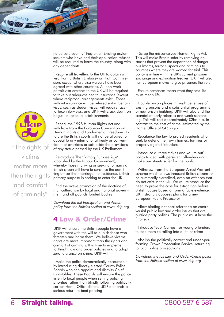

nated safe country' they enter. Existing asylum seekers who have had their application refused will be required to leave the country, along with any dependants

· Require all travellers to the UK to obtain a visa from a British Embassy or High Commission, except where visa waivers have been agreed with other countries. All non-work permit visa entrants to the UK will be required to take out adequate health insurance (except where reciprocal arrangements exist). Those without insurance will be refused entry. Certain visas, such as student visas, will require faceto-face interviews, and UKIP will crack down on bogus educational establishments



"The rights of victims matter more than the rights and comfort of criminals"

· Reintroduce The 'Primary Purpose Rule' (abolished by the Labour Government), whereby those marrying or seeking to marry a British citizen will have to convince the admitting officer that marriage, not residence, is their primary purpose in seeking to enter the UK

· End the active promotion of the doctrine of multiculturalism by local and national government and all publicly funded bodies

Download the full Immigration and Asylum policy from the Policies section of www.ukip.org

# **4 Law & Order/Crime**

UKIP will ensure the British people have a government with the will to punish those who threaten and harm them. We believe victims' rights are more important than the rights and comfort of criminals. It is time to implement forthright law and order policies and to adopt zero tolerance on crime. UKIP will:

· Make the police democratically accountable, by introducing directly-elected County Police Boards who can appoint and dismiss Chief Constables. These Boards will ensure the police listen to local people when setting policing priorities rather than blindly following politically correct Home Office diktats. UKIP demands a serious return to beat policing

 · Scrap the misconceived Human Rights Act. This will make Britain safer by removing obstacles that prevent the deportation of dangerous Imams, terror suspects and criminals to countries where they are wanted for trial. This policy is in line with the UK's current prisoner exchange and extradition treaties. UKIP will also halt European moves to give prisoners the vote

· Ensure sentences mean what they say: life must mean life

· Double prison places through better use of existing prisons and a substantial programme of new prison building. UKIP will also end the scandal of early releases and weak sentencing. This will cost approximately £2bn p.a. in contrast to the cost of crime, estimated by the Home Office at £45bn p.a.

· Rebalance the law to protect residents who seek to defend their own homes, families or property against intruders

· Introduce a 'three strikes and you're out' policy to deal with persistent offenders and make our streets safer for the public

· Withdraw from the European Arrest Warrant scheme which allows innocent British citizens to be summarily extradited, even on offences that do not exist in the UK. We will reintroduce the need to prove the case for extradition before British judges based on prima facie evidence. UKIP strongly opposes plans for a new European Public Prosecutor

· Allow binding national referenda on controversial public law and order issues that are outside party politics. The public must have the final say

· Introduce 'Boot Camps' for young offenders to stop them spiralling into a life of crime

· Abolish the politically correct and under-performing Crown Prosecution Service, returning to local police prosecutions

Download the full Law and Order/Crime policy from the Policies section of www.ukip.org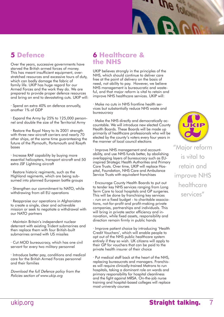# **5 Defence**

Over the years, successive governments have starved the British armed forces of money. This has meant insufficient equipment, overstretched resources and excessive tours of duty, which can badly damage the fabric of family life. UKIP has huge regard for our Armed Forces and the work they do. We are prepared to provide proper defence resources and bring an end to devastating cuts. UKIP will:

· Spend an extra 40% on defence annually, another 1% of GDP

· Expand the Army by 25% to 125,000 personnel and double the size of the Territorial Army

· Restore the Royal Navy to its 2001 strength with three new aircraft carriers and nearly 70 other ships, at the same time guaranteeing the future of the Plymouth, Portsmouth and Rosyth bases

· Increase RAF capability by buying more essential helicopters, transport aircraft and 50 extra JSF Lightning aircraft

· Restore historic regiments, such as the Highland regiments, which are being subsumed into planned European battle groups

· Strengthen our commitment to NATO, while withdrawing from all EU operations

· Reappraise our operations in Afghanistan to create a single, clear and achievable mission or seek to negotiate a withdrawal with our NATO partners

· Maintain Britain's independent nuclear deterrent with existing Trident submarines and then replace them with four British-built submarines armed with US missiles

· Cut MOD bureaucracy, which has one civil servant for every two military personnel

· Introduce better pay, conditions and medical care for the British Armed Forces personnel and their families

Download the full Defence policy from the Policies section of www.ukip.org

## **6 Healthcare & the NHS**

UKIP believes strongly in the principles of the NHS, which should continue to deliver care free at the point of delivery on the basis of need, not ability to pay. However, we believe NHS management is bureaucratic and wasteful, and that major reform is vital to retain and improve NHS healthcare services. UKIP will:

· Make no cuts in NHS frontline health services but substantially reduce NHS waste and bureaucracy

· Make the NHS directly and democratically accountable. We will introduce new elected County Health Boards. These Boards will be made up primarily of healthcare professionals who will be elected by the county's voters every four years in the manner of local council elections

· Improve NHS management and accountability, and use NHS funds better, by abolishing overlapping layers of bureaucracy such as EUinspired Strategic Health Authorities and Primary Care Trusts. Over time, UKIP will replace Hospital, Foundation, NHS Care and Ambulance Service Trusts with equivalent franchises

· Encourage County Health Boards to put out to tender key NHS services ranging from Long Term Care to local hospitals and GP surgeries. This will be done by franchising key services - run on a fixed budget - to charitable associations, not-for-profit and profit-making private companies, partnerships and individuals. This will bring in private sector efficiency and innovation, while fixed assets, responsibility and direction remain firmly in public hands

· Improve patient choice by introducing 'Health Credit Vouchers', which will enable people to opt out of the NHS public healthcare system entirely if they so wish. UK citizens will apply to their GP for vouchers that can be paid to the private health insurer of their choice

· Put medical staff back at the heart of the NHS, replacing bureaucrats and managers. Franchises will require clinically-trained Matrons to run hospitals, taking a dominant role on wards and primary responsibility for hospital cleanliness and the fight against MRSA. On-the-job nurse training and hospital-based colleges will replace most university courses



The following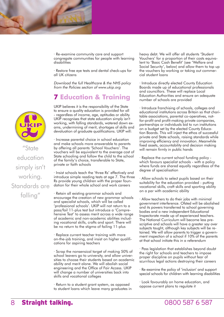

· Re-examine community care and support congregate communities for people with learning disabilities

· Restore free eye tests and dental check-ups for all UK citizens

Download the full Healthcare & the NHS policy from the Policies section of www.ukip.org

# **7 Education & Training**

UKIP believes it is the responsibility of the State to ensure a quality education is provided for all - regardless of income, age, aptitudes or ability. UKIP recognises that state education simply isn't working, with falling standards, watered down exams, undermining of merit, shortages of skills and devaluation of graduate qualifications. UKIP will:

· Increase parental choice in school education and make schools more answerable to parents by offering all parents 'School Vouchers'. The vouchers will be equivalent to the average cost of State schooling and follow the child to the school of the family's choice, transferable to State, private or faith schools

· Insist schools teach the 'three Rs' effectively and introduce simple reading tests at age 7. The three Rs provide young children with the proper foundation for their whole school and work careers

· Retain all existing grammar schools and encourage the creation of new grammar schools and specialist schools, which will be called 'professional schools'. UKIP will not return to a pass/fail 11-plus test but introduce a 'Comprehensive Test' to assess merit across a wide range of academic and non-academic abilities including vocational skills, crafts and sport. There will be no return to the stigma of failing 11-plus

· Replace current teacher training with more on-the-job training, and insist on higher qualifications for aspiring teachers

· Scrap the nonsensical target of making 50% of school leavers go to university, and allow universities to choose their students based on academic ability and merit alone. We will abolish social engineering and the Office of Fair Access. UKIP will change a number of universities back into skills and vocational colleges

· Return to a student grant system, as opposed to student loans which leave many graduates in heavy debt. We will offer all students 'Student Vouchers' for a proportion of their costs equivalent to 'Basic Cash Benefit' (see 'Welfare and Social Security', below) and allow them to top up the vouchers by working or taking out commercial student loans

· Introduce directly elected County Education Boards made up of educational professionals and councillors. These will replace Local Education Authorities and ensure an adequate number of schools are provided

· Introduce franchising of schools, colleges and educational institutions across Britain so that charitable associations, parental co-operatives, notfor-profit and profit-making private companies, partnerships or individuals bid to run institutions on a budget set by the elected County Education Boards. This will inject the ethos of successful private and State schools, raising standards while improving efficiency and innovation. Meanwhile fixed assets, accountability and decision making will remain firmly in public hands

· Replace the current school funding policy which favours specialist schools - with a policy where funds are shared equally regardless of the degree of specialisation

· Allow schools to select pupils based on their suitability for the education provided - putting vocational skills, craft skills and sporting ability on a par with academic ability

· Allow teachers to do their jobs with minimal government interference. Ofsted will be abolished and its powers transferred to school governing bodies and a new independent Educational Inspectorate made up of experienced teachers. The National Curriculum will become less prescriptive and schools will have a greater say over subjects taught, although key subjects will be retained. We will allow parents to trigger a government inspection of a school if 10% of the parents at that school initiate this in a referendum

· Pass legislation that establishes beyond doubt the right for schools and teachers to impose proper discipline on pupils without fear of scurrilous legal actions destroying their careers

· Re-examine the policy of 'inclusion' and support special schools for children with learning disabilities

· Look favourably on home education, and oppose current plans to regulate it



State education simply isn't working. Standards are falling"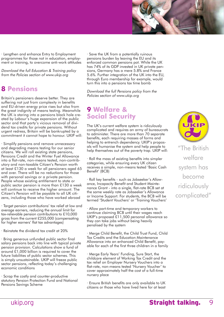

· Lengthen and enhance Entry to Employment programmes for those not in education, employment or training, to overcome anti-work attitudes

Download the full Education & Training policy from the Policies section of www.ukip.org

# **8 Pensions**

Britain's pensioners deserve better. They are suffering not just from complexity in benefits and EU-driven energy price rises but also from the great indignity of means testing. Meanwhile the UK is staring into a pensions black hole created by Labour's huge expansion of the public sector and that party's vicious removal of dividend tax credits for private pensions. Without urgent redress, Britain will be bankrupted by a commitment it cannot hope to honour. UKIP will:

· Simplify pensions and remove unnecessary and degrading means testing for our senior citizens. We will roll existing state pensions, Pensions Credit and the Winter Fuel Allowance into a flat-rate, non-means tested, non-contributory and non-taxable Citizen's Pension worth at least £130 a week for all pensioners aged 65 and over. There will be no reductions for those with personal savings or a private pension. People whose existing entitlement to state or public sector pension is more than £130 a week will continue to receive the higher amount. The Citizen's Pension will be payable to all UK citizens, including those who have worked abroad

· Target pension contributions' tax relief at low and average earners, reducing the annual limit for tax-relievable pension contributions to £10,000 gross from the current £255,000 (compensating for higher earners' flat tax advantages)

· Reinstate the dividend tax credit at 20%

· Bring generous unfunded public sector final salary pensions back into line with typical private pension provision. Calculations show a fund of around £1,000 billion is required to cover the future liabilities of public sector schemes. This is simply unsustainable. UKIP will freeze public sector pensions, reflecting today's challenging economic conditions

· Scrap the costly and counter-productive statutory Pension Protection Fund and National Pensions Savings Scheme

· Save the UK from a potentially ruinous pensions burden by leaving the EU and its enforced common pensions pot. While the UK has 74% of its GDP invested in UK private pensions, Germany has a mere 5.8% and France 5.6%. Further integration of the UK into the EU, through Euro membership for example, would turn this into a pensions tax time bomb

Download the full Pensions policy from the Policies section of www.ukip.org

## **9 Welfare & Social Security**

The UK's current welfare system is ridiculously complicated and requires an army of bureaucrats to administer. There are more than 70 separate benefits, each requiring masses of forms and helping to entrench dependency. UKIP's proposals will humanise the system and help people to help themselves out of the poverty trap. UKIP will:

· Roll the mass of existing benefits into simpler categories, while ensuring every UK citizen receives a simple, non-means tested 'Basic Cash Benefit' (BCB)

· Roll key benefits - such as Jobseeker's Allowance, Incapacity Benefit and Student Maintenance Grant - into a single, flat-rate BCB set at the same weekly rate as Jobseeker's Allowance or Income Support. For students, the BCB will be termed 'Student Vouchers' or 'Training Vouchers'

· Allow part-time and temporary workers to continue claiming BCB until their wages reach UKIP's proposed £11,500 personal allowance so they can take jobs without being heavily penalised by the system

· Merge Child Benefit, the Child Trust Fund, Child Tax Credits and the Education Maintenance Allowance into an enhanced Child Benefit, payable for each of the first three children in a family

· Merge Early Years' Funding, Sure Start, the childcare element of Working Tax Credit and the tax relief on Employer Nursery Vouchers into a flat-rate, non-means tested 'Nursery Voucher' to cover approximately half the cost of a full-time nursery place

· Ensure British benefits are only available to UK citizens or those who have lived here for at least



The British welfare system has become ridiculously complicated"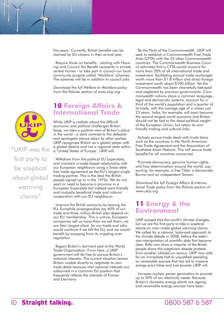five years. Currently, British benefits can be claimed by EU citizens in their arrival year

· Require those on benefits - starting with Housing and Council Tax Benefit recipients in private rented homes - to take part in council-run local community projects called 'Workfare' schemes. The schemes will be in addition to council jobs

Download the full Welfare to Workfare policy from the Policies section of www.ukip.org

#### **10 Foreign Affairs & International Trade**

While UKIP is realistic about the difficult economic and political challenges Britain faces, we take a positive view of Britain's place in the world - a stark contrast to the defeatist and apologetic stance taken by other parties. UKIP recognises Britain as a global player with a global destiny and not a regional state within a 'United States of Europe'. UKIP will:

· Withdraw from the political EU Superstate, and maintain a trade-based relationship with our European neighbours using a Swiss-style free trade agreement as the EU's largest single trading partner. This is the deal the British people signed up to in the 1970s. We do not want or need to become a province in a European Superstate but instead want friendly and mutually beneficial trade and cultural cooperation with our EU neighbours

· Improve the British economy by leaving the EU. Europhile propagandists say 60% of our trade and three million British jobs depend on our EU membership. This is untrue. European companies sell us more than we sell them; we are their largest client. So our trade and jobs would continue if we left the EU, and we would benefit by escaping from its crippling overregulation

· Regain Britain's dormant seat at the World Trade Organisation. From here, a UKIP government will be free to pursue Britain's national interests. The current situation leaves Britain unable directly to negotiate its own trade deals because vital national interests are subsumed in a common EU position that frequently reflects the interests of France and Germany

· Be the Party of the Commonwealth. UKIP will seek to establish a Commonwealth Free Trade Area (CFTA) with the 53 other Commonwealth countries. The Commonwealth Business Council estimates that a CFTA would account for more than 20% of all international trade and investment, facilitating annual trade exchanges worth more than \$1.8 trillion and direct foreign investment worth about \$100 billion. Yet the Commonwealth has been shamefully betrayed and neglected by previous governments. Commonwealth nations share a common language, legal and democratic systems, account for a third of the world's population and a quarter of its trade, with the average age of a citizen just 25 years. India, for example, will soon become the second largest world economy and Britain should not be tied to the dead political weight of the European Union, but retain its own friendly trading and cultural links

· Actively pursue trade deals with trade blocs such as the countries in the North American Free Trade Agreement and the Association of Southeast Asian Nations. This will secure trade benefits for all countries concerned

· Promote democracy, genuine human rights, and free determination around the world, supporting, for example, a free Tibet, a democratic Burma and an independent Taiwan

Download the full Foreign Affairs & International Trade policy from the Policies section of www.ukip.org

#### **11 Energy & the Environment**

UKIP accepts that the world's climate changes, but we are the first party to take a sceptical stance on man-made global warming claims. We called for a rational, balanced approach to the climate debate in 2008, before the extensive manipulation of scientific data first became clear. Polls now show a majority of the British people share this scepticism despite protests from another LibLabCon-sensus. UKIP now calls for an immediate halt to unjustified spending on renewable sources that has led to massive energy price hikes and fuel poverty. UKIP will:

· Increase nuclear power generation to provide up to 50% of our electricity needs. Because Britain's domestic energy plants are ageing and renewable energy sources have been



# "UKIP was the first party to be sceptical about global warming claims"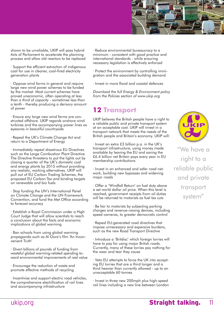

shown to be unreliable, UKIP will pass hybrid Acts of Parliament to accelerate the planning process and allow old reactors to be replaced

· Support the efficient extraction of indigenous coal for use in cleaner, coal-fired electricity generation plants

· Oppose wind farms in general and require large new wind power schemes to be funded by the market. Most current schemes have proved uneconomic, often operating at less than a third of capacity - sometimes less than a tenth - thereby producing a derisory amount of power

· Ensure any large new wind farms are constructed offshore. UKIP regards onshore wind turbines and the accompanying power lines as eyesores in beautiful countryside

· Repeal the UK's Climate Change Act and return to a Department of Energy

· Immediately repeal disastrous EU Directives such as the Large Combustion Plant Directive. The Directive threatens to put the lights out by closing a quarter of the UK's domestic coal and energy plants by 2015 without providing any realistic, working alternatives. UKIP will pull out of EU Carbon Trading Schemes, the proposed EU Carbon Tax and binding targets on renewable and bio fuels

· Stop funding the UN's International Panel on Climate Change and the UN Framework Convention, and fund the Met Office according to forecast accuracy

· Establish a Royal Commission under a High Court Judge that will allow scientists to reach a conclusion about the facts and economic implications of global warming

· Ban schools from using global warming propaganda such as Al Gore's film 'An Inconvenient Truth'

· Divert billions of pounds of funding from wasteful global warming-related spending toward environmental improvements of real value

· Encourage the reduction of waste and promote effective methods of recycling

· Incentivise and support electric road vehicles, the comprehensive electrification of rail lines and accompanying infrastructure

· Reduce environmental bureaucracy to a minimum - consistent with good practice and international standards - while ensuring necessary legislation is effectively enforced

· Protect the environment by controlling immigration and the associated building demand

· Invest in more flood and coastal defences

Download the full Energy & Environment policy from the Policies section of www.ukip.org

# **12 Transport**

UKIP believes the British people have a right to a reliable public and private transport system at an acceptable cost. UKIP will invest in a transport network that meets the needs of the British people and Britain's economy. UKIP will:

· Invest an extra £3 billion p.a. in the UK's transport infrastructure, using money made available by leaving the EU and saving the £6.4 billion net Britain pays every year in EU membership contributions

· Invest in an enhanced and safer road network, building new bypasses and widening major roads

· Offer a 'Windfall Return' on fuel duty above a set world dollar oil price. When this level is reached, government receipts from oil duties will be returned to motorists as fuel tax cuts

· Be fair to motorists by subjecting parking charges and revenue-raising devices, including speed cameras, to greater democratic control

· Repeal EU-generated road directives that impose unnecessary and expensive burdens, such as the new Road Transport Directive

· Introduce a 'Britdisc' which foreign lorries will have to pay for using major British roads. Currently, many of these lorries pay nothing for the wear and tear they cause

· Veto EU attempts to force the UK into accepting EU lorries that are a third longer and a third heavier than currently allowed - up to an unacceptable 60 tonnes

· Invest in three new 200mph plus high-speed rail lines including a new line between London



'e have a right to a reliable public and private transport system"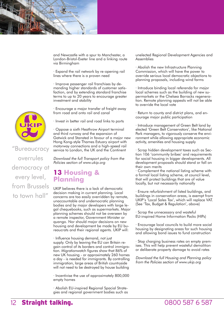and Newcastle with a spur to Manchester, a London-Bristol-Exeter line and a linking route via Birmingham

· Expand the rail network by re-opening rail lines where there is a proven need

· Improve passenger rail franchises by demanding higher standards of customer satisfaction, and by extending standard franchise terms to up to 20 years to encourage greater investment and stability

· Encourage a major transfer of freight away from road and onto rail and canal

· Invest in better rail and road links to ports

· Oppose a sixth Heathrow Airport terminal and third runway and the expansion of Gatwick and Stansted in favour of a major new Hong Kong-style Thames Estuary airport with motorway connections and a high-speed rail service to London, the UK and the Continent

Download the full Transport policy from the Policies section of www.ukip.org

#### **13 Housing & Planning**

UKIP believes there is a lack of democratic decision making in current planning. Local concerns are too easily overridden by remote, unaccountable and undemocratic planning bodies and by major developers with large legal chequebooks, such as supermarkets. Major planning schemes should not be overseen by a remote inspector, Government Minister or quango. Nor should major decisions on new housing and development be made by EU bureaucrats and their regional agents. UKIP will:

· Influence housing demand, not just supply. Only by leaving the EU can Britain regain control of its borders and control immigration. Migrationwatch figures show that 86% of new UK housing - or approximately 260 homes a day - is needed for immigrants. By controlling immigration, large areas of British countryside will not need to be destroyed by house building

· Incentivise the use of approximately 800,000 empty homes

· Abolish EU-inspired Regional Spacial Strategies and regional government bodies such as unelected Regional Development Agencies and Assemblies

· Abolish the new Infrastructure Planning Commission, which will have the power to override serious local democratic objections to planning proposals, including wind farms

· Introduce binding local referenda for major local schemes such as the building of new supermarkets or the Chelsea Barracks regeneration. Remote planning appeals will not be able to override the local vote

· Return to county and district plans, and encourage major public participation

· Introduce management of Green Belt land by elected 'Green Belt Conservators', like National Park managers, to vigorously conserve the environment while allowing appropriate economic activity, amenities and housing supply

· Scrap hidden development taxes such as Section 106 'community bribes' and requirements for social housing in bigger developments. All development proposals should stand or fall on their own merits

· Complement the national listing scheme with a formal local listing scheme, at council level, that will protect buildings that are of value locally, but not necessarily nationally

· Ensure refurbishment of listed buildings, and buildings in conservation areas, is exempt from UKIP's 'Local Sales Tax', which will replace VAT. (See 'Tax, Budget & Regulation', above)

· Scrap the unnecessary and wasteful EU-inspired Home Information Packs (HIPs)

· Encourage local councils to build more social housing by designating areas for such housing and allowing bond issues to fund construction

· Stop charging business rates on empty premises. This will help prevent wasteful demolition or deliberate property damage to avoid rates

Download the full Housing and Planning policy from the Policies section of www.ukip.org



"Bureaucracy overrules democracy at every level, from Brussels to town hall"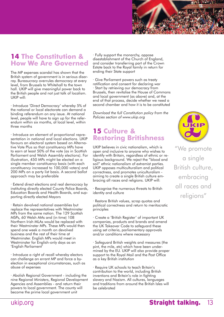

## **14 The Constitution & How We Are Governed**

The MP expenses scandal has shown that the British system of government is in serious disarray. Bureaucracy overrules democracy at every level, from Brussels to Whitehall to the town hall. UKIP will give meaningful power back to the British people and not just talk of localism. UKIP will:

· Introduce 'Direct Democracy' whereby 5% of the national or local electorate can demand a binding referendum on any issue. At national level, people will have to sign up for the referendum within six months, at local level, within three months

· Introduce an element of proportional representation in national and local elections. UKIP favours an electoral system based on Alternative Vote Plus so that constituency MPs have to earn at least 50% of the vote (as in Scottish Parliament and Welsh Assembly elections). For illustration, 450 MPs might be elected on a single member constituency basis (with each constituency increased to 100,000 voters) and 200 MPs on a party list basis. A second ballot approach may be preferable

· Extend direct elections and real democracy by instituting directly elected County Police Boards, Education Boards and Health Boards, and supporting directly elected Mayors

· Retain devolved national assemblies but replace the representatives with Westminster MPs from the same nation. The 129 Scottish MSPs, 60 Welsh AMs and (in time) 108 Northern Irish MLAs would be replaced with their Westminster MPs. These MPs would then spend one week a month on devolved business and the rest of their time at Westminster. English MPs would meet in Westminster for English-only days as an 'English Parliament'

· Introduce a right of recall whereby electors can challenge an errant MP and force a byelection in exceptional circumstances, such as abuse of expenses

· Abolish Regional Government - including the nine Regional Ministers, Regional Development Agencies and Assemblies - and return their powers to local government. The county will become the prime local government unit

· Fully support the monarchy, oppose disestablishment of the Church of England, and consider transferring part of the Crown Estate back to the Royal family in return for ending their State support

· Give Parliament powers such as treaty ratification and consent for declaring war · Start by retrieving our democracy from Brussels, then revitalise the House of Commons and local government (as above) and, at the end of that process, decide whether we need a second chamber and how it is to be constituted

Download the full Constitution policy from the Policies section of www.ukip.org

## **15 Culture & Restoring Britishness**

UKIP believes in civic nationalism, which is open and inclusive to anyone who wishes to identify with Britain, regardless of ethnic or religious background. We reject the "blood and soil" ethnic nationalism of extremist parties. UKIP opposes multiculturalism and political correctness, and promotes uniculturalism aiming to create a single British culture embracing all races and religions. UKIP will:

· Recognise the numerous threats to British identity and culture

· Restore British values, scrap quotas and political correctness and return to meritocratic principles

· Create a 'British Register' of important UK companies, products and brands and amend the UK Takeover Code to safeguard these using set criteria, parliamentary approvals and/or conditions where necessary

· Safeguard British weights and measures (the pint, the mile, etc) which have been undermined by the EU. UKIP will also provide proper support to the Royal Mail and the Post Office as a key British institution

· Require UK schools to teach Britain's contribution to the world, including British inventions and Britain's role in fighting slavery and Nazism. All cultures, languages and traditions from around the British Isles will be celebrated



"We promote a single British culture, embracing all races and religions"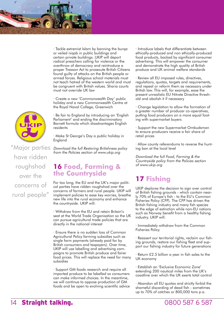

· Tackle extremist Islam by banning the burqa or veiled niqab in public buildings and certain private buildings. UKIP will deport radical preachers calling for violence or the overthrow of democracy and reintroduce a proper Treason Act to prosecute British Citizens found guilty of attacks on the British people or armed forces. Religious school materials must not teach hatred of the western world and must be congruent with British values. Sharia courts must not override UK law

· Create a new 'Commonwealth Day' public holiday and a new Commonwealth Centre at the Royal Naval College, Greenwich

· Be fair to England by introducing an 'English Parliament' and ending the discriminatory Barnett formula which disadvantages English residents

· Make St George's Day a public holiday in England

Download the full Restoring Britishness policy from the Policies section of www.ukip.org

#### **16 Food, Farming & the Countryside**

For too long, the EU and the UK's major political parties have ridden roughshod over the concerns of farmers and rural people. UKIP will implement policies to ease key worries, breathe new life into the rural economy and enhance the countryside. UKIP will:

· Withdraw from the EU and retain Britain's seat at the World Trade Organisation so the UK can pursue agricultural trade policies that are directly in the national interest

· Ensure there is no sudden loss of Common Agricultural Policy farming subsidies such as single farm payments (already paid for by British consumers and taxpayers). Over time, UKIP will use labelling and advertising campaigns to promote British produce and fairer food prices. This will replace the need for many subsidies

· Support GM foods research and require all imported produce to be labelled so consumers can make informed choices. In the meantime, we will continue to oppose production of GM foods and be open to evolving scientific advice · Introduce labels that differentiate between ethically-produced and non ethically-produced food products, backed by significant consumer advertising. This will empower the consumer and demonstrate the high quality of British produce and UK animal welfare standards

· Review all EU imposed rules, directives, regulations, quotas, targets and requirements, and repeal or reform them as necessary under British law. This will, for example, ease the present unrealistic EU Nitrate Directive threshold and abolish it if necessary

· Change legislation to allow the formation of a greater number of producer co-operatives, putting food producers on a more equal footing with supermarket buyers

· Support the new Supermarket Ombudsman to ensure producers receive a fair share of retail prices

· Allow county referendums to reverse the hunting ban at the local level

Download the full Food, Farming & the Countryside policy from the Policies section of www.ukip.org

# **17 Fishing**

UKIP deplores the decision to sign over control of British fishing grounds - which contain nearly 70% of Europe's fish - to the EU's Common Fisheries Policy (CFP). The CFP has driven the British fishing industry and many fish species to the edge of extinction while non-EU nations such as Norway benefit from a healthy fishing industry. UKIP will:

· Immediately withdraw from the Common Fisheries Policy

· Reassert our territorial rights, reclaim our fishing grounds, restore our fishing fleet and support our fishing industry for future generations

· Return £2.5 billion a year in fish sales to the UK economy

· Establish an 'Exclusive Economic Zone' extending 200 nautical miles from the UK's coastline over which the UK exerts total control

· Abandon all EU quotas and strictly forbid the shameful discarding of dead fish - sometimes up to 70% of catches or 800,000 tons p.a.



"Major parties have ridden roughshod over the concerns of rural people"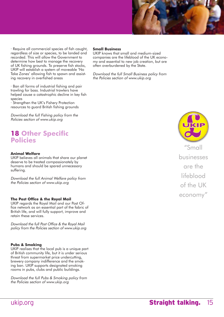

· Require all commercial species of fish caught, regardless of size or species, to be landed and recorded. This will allow the Government to determine how best to manage the recovery of UK fishing grounds. To preserve fish stocks, UKIP will establish a system of moveable 'No Take Zones' allowing fish to spawn and assisting recovery in overfished areas

· Ban all forms of industrial fishing and pair trawling for bass. Industrial trawlers have helped cause a catastrophic decline in key fish species

· Strengthen the UK's Fishery Protection resources to guard British fishing grounds

Download the full Fishing policy from the Policies section of www.ukip.org

### **18 Other Specific Policies**

#### **Animal Welfare**

UKIP believes all animals that share our planet deserve to be treated compassionately by humans and should be spared unnecessary suffering.

Download the full Animal Welfare policy from the Policies section of www.ukip.org

#### **The Post Office & the Royal Mail**

UKIP regards the Royal Mail and our Post Office network as an essential part of the fabric of British life, and will fully support, improve and retain these services.

Download the full Post Office & the Royal Mail policy from the Policies section of www.ukip.org

#### **Pubs & Smoking**

UKIP realises that the local pub is a unique part of British community life, but it is under serious threat from supermarket price undercutting, brewery company indifference and the smoking ban. UKIP supports designated smoking rooms in pubs, clubs and public buildings.

Download the full Pubs & Smoking policy from the Policies section of www.ukip.org

#### **Small Business**

UKIP knows that small and medium-sized companies are the lifeblood of the UK economy and essential to new job creation, but are often overburdened by the State.

Download the full Small Business policy from the Policies section of www.ukip.org